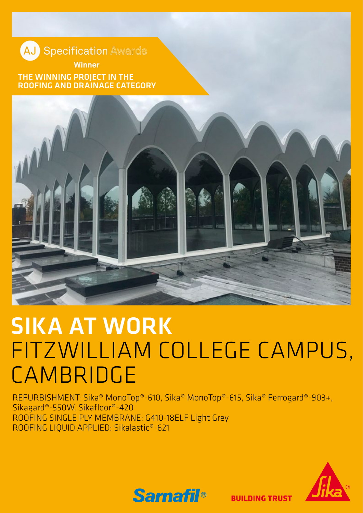**AJ** Specification Awards **Winner** 

THE WINNING PROJECT IN THE ROOFING AND DRAINAGE CATEGORY



## SIKA AT WORK FITZWILLIAM COLLEGE CAMPUS, CAMBRIDGE

REFURBISHMENT: Sika® MonoTop®-610, Sika® MonoTop®-615, Sika® Ferrogard®-903+, Sikagard®-550W, Sikafloor®-420 ROOFING SINGLE PLY MEMBRANE: G410-18ELF Light Grey ROOFING LIQUID APPLIED: Sikalastic®-621



**Samafil<sup>®</sup>** 

**BUILDING TRUST**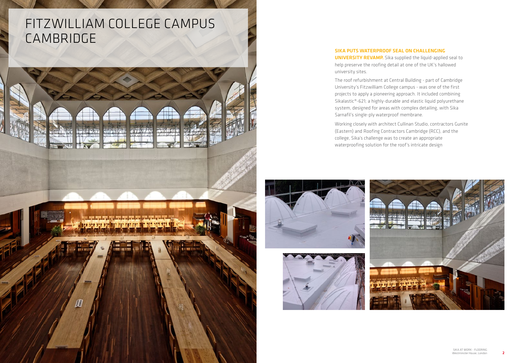### SIKA PUTS WATERPROOF SEAL ON CHALLENGING **UNIVERSITY REVAMP.** Sika supplied the liquid-applied seal to

## FITZWILLIAM COLLEGE CAMPUS CAMBRIDGE



help preserve the roofing detail at one of the UK's hallowed



university sites.

The roof refurbishment at Central Building - part of Cambridge University's Fitzwilliam College campus - was one of the first projects to apply a pioneering approach. It included combining Sikalastic®-621; a highly-durable and elastic liquid polyurethane system, designed for areas with complex detailing, with Sika Sarnafil's single-ply waterproof membrane.

Working closely with architect Cullinan Studio, contractors Gunite (Eastern) and Roofing Contractors Cambridge (RCC), and the college, Sika's challenge was to create an appropriate waterproofing solution for the roof's intricate design